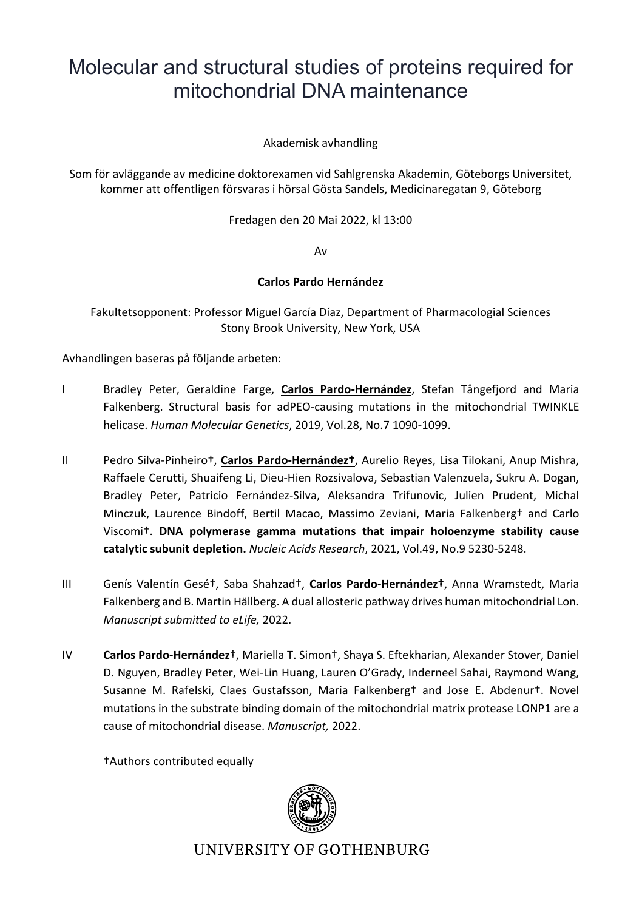# Molecular and structural studies of proteins required for mitochondrial DNA maintenance

Akademisk avhandling

Som för avläggande av medicine doktorexamen vid Sahlgrenska Akademin, Göteborgs Universitet, kommer att offentligen försvaras i hörsal Gösta Sandels, Medicinaregatan 9, Göteborg

Fredagen den 20 Mai 2022, kl 13:00

Av

### **Carlos Pardo Hernández**

Fakultetsopponent: Professor Miguel García Díaz, Department of Pharmacologial Sciences Stony Brook University, New York, USA

Avhandlingen baseras på följande arbeten:

- I Bradley Peter, Geraldine Farge, **Carlos Pardo-Hernández**, Stefan Tångefjord and Maria Falkenberg. Structural basis for adPEO-causing mutations in the mitochondrial TWINKLE helicase. *Human Molecular Genetics*, 2019, Vol.28, No.7 1090-1099.
- II Pedro Silva-Pinheiro†, **Carlos Pardo-Hernández†**, Aurelio Reyes, Lisa Tilokani, Anup Mishra, Raffaele Cerutti, Shuaifeng Li, Dieu-Hien Rozsivalova, Sebastian Valenzuela, Sukru A. Dogan, Bradley Peter, Patricio Fernández-Silva, Aleksandra Trifunovic, Julien Prudent, Michal Minczuk, Laurence Bindoff, Bertil Macao, Massimo Zeviani, Maria Falkenberg† and Carlo Viscomi†. **DNA polymerase gamma mutations that impair holoenzyme stability cause catalytic subunit depletion.** *Nucleic Acids Research*, 2021, Vol.49, No.9 5230-5248.
- III Genís Valentín Gesé†, Saba Shahzad†, **Carlos Pardo-Hernández†**, Anna Wramstedt, Maria Falkenberg and B. Martin Hällberg. A dual allosteric pathway drives human mitochondrial Lon. *Manuscript submitted to eLife,* 2022.
- IV **Carlos Pardo-Hernández**†, Mariella T. Simon†, Shaya S. Eftekharian, Alexander Stover, Daniel D. Nguyen, Bradley Peter, Wei-Lin Huang, Lauren O'Grady, Inderneel Sahai, Raymond Wang, Susanne M. Rafelski, Claes Gustafsson, Maria Falkenberg† and Jose E. Abdenur†. Novel mutations in the substrate binding domain of the mitochondrial matrix protease LONP1 are a cause of mitochondrial disease. *Manuscript,* 2022.

†Authors contributed equally



**UNIVERSITY OF GOTHENBURG**